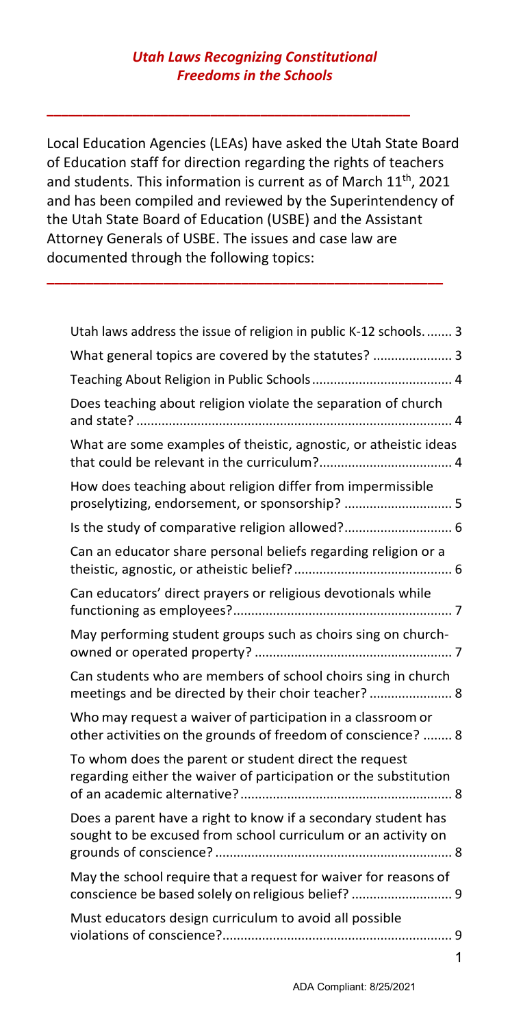**\_\_\_\_\_\_\_\_\_\_\_\_\_\_\_\_\_\_\_\_\_\_\_\_\_\_\_\_\_\_\_\_\_\_\_\_\_\_\_\_\_\_\_\_\_\_\_\_\_\_\_**

Local Education Agencies (LEAs) have asked the Utah State Board of Education staff for direction regarding the rights of teachers and students. This information is current as of March 11<sup>th</sup>, 2021 and has been compiled and reviewed by the Superintendency of the Utah State Board of Education (USBE) and the Assistant Attorney Generals of USBE. The issues and case law are documented through the following topics:

**\_\_\_\_\_\_\_\_\_\_\_\_\_\_\_\_\_\_\_\_\_\_\_\_\_\_\_\_\_\_\_\_\_\_\_\_\_\_\_\_\_\_\_\_\_\_\_\_\_\_\_**

| Utah laws address the issue of religion in public K-12 schools 3                                                               |
|--------------------------------------------------------------------------------------------------------------------------------|
| What general topics are covered by the statutes?  3                                                                            |
|                                                                                                                                |
| Does teaching about religion violate the separation of church                                                                  |
| What are some examples of theistic, agnostic, or atheistic ideas                                                               |
| How does teaching about religion differ from impermissible<br>proselytizing, endorsement, or sponsorship?  5                   |
| Is the study of comparative religion allowed? 6                                                                                |
| Can an educator share personal beliefs regarding religion or a                                                                 |
| Can educators' direct prayers or religious devotionals while                                                                   |
| May performing student groups such as choirs sing on church-                                                                   |
| Can students who are members of school choirs sing in church<br>meetings and be directed by their choir teacher?  8            |
| Who may request a waiver of participation in a classroom or<br>other activities on the grounds of freedom of conscience?  8    |
| To whom does the parent or student direct the request<br>regarding either the waiver of participation or the substitution      |
| Does a parent have a right to know if a secondary student has<br>sought to be excused from school curriculum or an activity on |
| May the school require that a request for waiver for reasons of<br>conscience be based solely on religious belief?  9          |
| Must educators design curriculum to avoid all possible                                                                         |
| 1                                                                                                                              |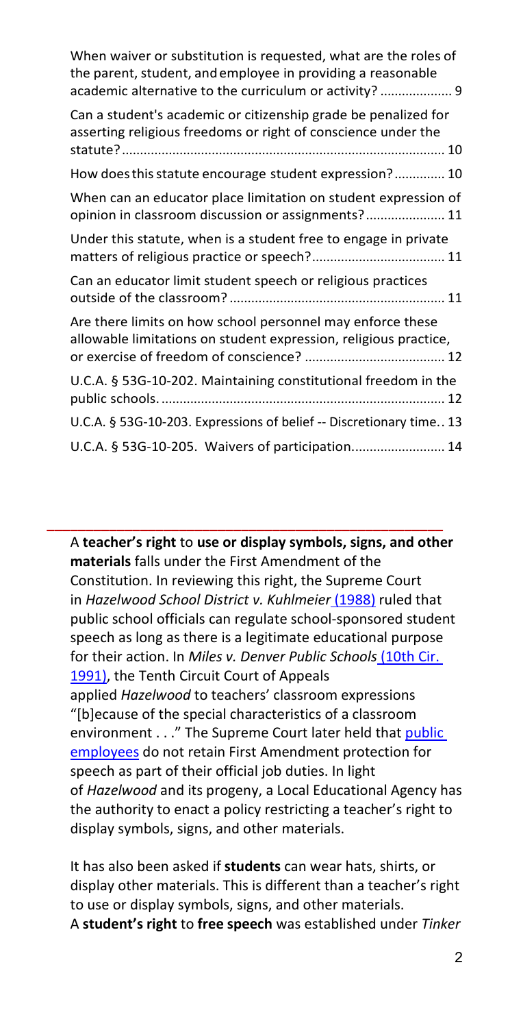| When waiver or substitution is requested, what are the roles of<br>the parent, student, and employee in providing a reasonable<br>academic alternative to the curriculum or activity?  9 |
|------------------------------------------------------------------------------------------------------------------------------------------------------------------------------------------|
| Can a student's academic or citizenship grade be penalized for<br>asserting religious freedoms or right of conscience under the                                                          |
| How does this statute encourage student expression? 10                                                                                                                                   |
| When can an educator place limitation on student expression of<br>opinion in classroom discussion or assignments? 11                                                                     |
| Under this statute, when is a student free to engage in private                                                                                                                          |
| Can an educator limit student speech or religious practices                                                                                                                              |
| Are there limits on how school personnel may enforce these<br>allowable limitations on student expression, religious practice,                                                           |
| U.C.A. § 53G-10-202. Maintaining constitutional freedom in the                                                                                                                           |
| U.C.A. § 53G-10-203. Expressions of belief -- Discretionary time 13                                                                                                                      |
| U.C.A. § 53G-10-205. Waivers of participation 14                                                                                                                                         |

A **teacher's right** to **use or display symbols, signs, and other materials** falls under the First Amendment of the Constitution. In reviewing this right, the Supreme Court in *[Hazelwood](https://mtsu.edu/first-amendment/article/657/hazelwood-school-district-v-kuhlmeier) School District v. Kuhlmeier* (1988) ruled that public school officials can regulate school-sponsored student speech as long as there is a legitimate educational purpose for their action. In *Miles v. Denver Public [Schools](https://law.justia.com/cases/federal/district-courts/FSupp/733/1410/1517198/)* (10th Cir. [1991\),](https://law.justia.com/cases/federal/district-courts/FSupp/733/1410/1517198/) the Tenth Circuit Court of Appeals applied *Hazelwood* to teachers' classroom expressions "[b]ecause of the special characteristics of a classroom environment . . ." The Supreme Court later held that [public](https://mtsu.edu/first-amendment/article/925/public-employees) [employees](https://mtsu.edu/first-amendment/article/925/public-employees) do not retain First Amendment protection for speech as part of their official job duties. In light of *Hazelwood* and its progeny, a Local Educational Agency has the authority to enact a policy restricting a teacher's right to display symbols, signs, and other materials.

**\_\_\_\_\_\_\_\_\_\_\_\_\_\_\_\_\_\_\_\_\_\_\_\_\_\_\_\_\_\_\_\_\_\_\_\_\_\_\_\_\_\_\_\_\_\_\_\_\_\_\_**

It has also been asked if **students** can wear hats, shirts, or display other materials. This is different than a teacher's right to use or display symbols, signs, and other materials. A **student's right** to **free speech** was established under *Tinker*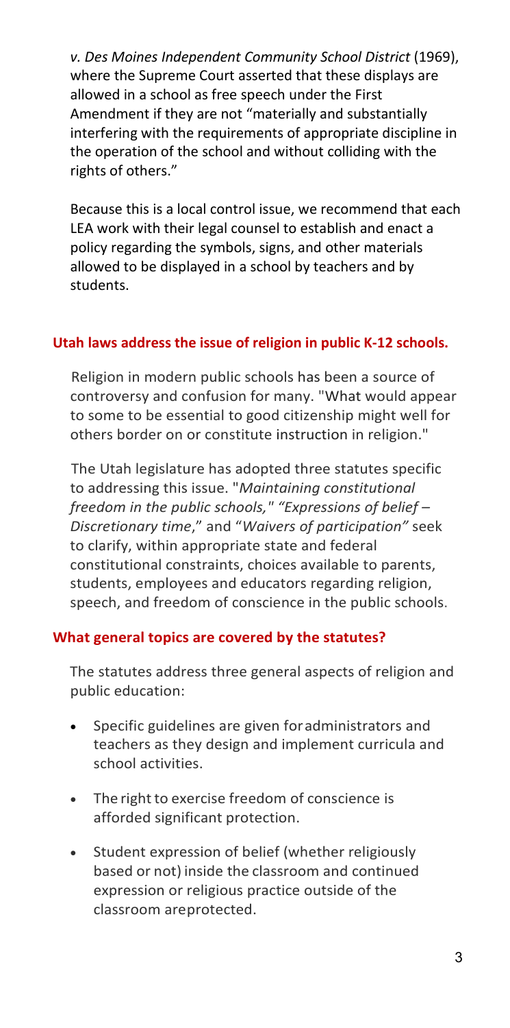*v. Des Moines Independent Community School District* (1969), where the Supreme Court asserted that these displays are allowed in a school as free speech under the First Amendment if they are not "materially and substantially interfering with the requirements of appropriate discipline in the operation of the school and without colliding with the rights of others."

Because this is a local control issue, we recommend that each LEA work with their legal counsel to establish and enact a policy regarding the symbols, signs, and other materials allowed to be displayed in a school by teachers and by students.

# <span id="page-2-0"></span>**Utah laws address the issue of religion in public K-12 schools.**

Religion in modern public schools has been a source of controversy and confusion for many. "What would appear to some to be essential to good citizenship might well for others border on or constitute instruction in religion."

The Utah legislature has adopted three statutes specific to addressing this issue. "*Maintaining constitutional freedom in the public schools," "Expressions of belief – Discretionary time*," and "*Waivers of participation"* seek to clarify, within appropriate state and federal constitutional constraints, choices available to parents, students, employees and educators regarding religion, speech, and freedom of conscience in the public schools.

### <span id="page-2-1"></span>**What general topics are covered by the statutes?**

The statutes address three general aspects of religion and public education:

- Specific guidelines are given foradministrators and teachers as they design and implement curricula and school activities.
- The right to exercise freedom of conscience is afforded significant protection.
- Student expression of belief (whether religiously based or not) inside the classroom and continued expression or religious practice outside of the classroom areprotected.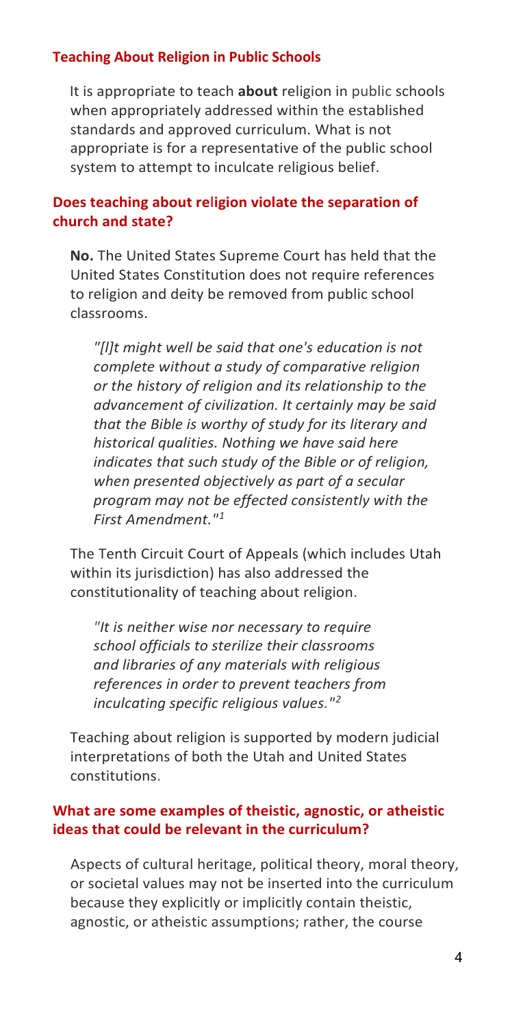## <span id="page-3-0"></span>**Teaching About Religion in Public Schools**

It is appropriate to teach **about** religion in public schools when appropriately addressed within the established standards and approved curriculum. What is not appropriate is for a representative of the public school system to attempt to inculcate religious belief.

# <span id="page-3-1"></span>**Does teaching about religion violate the separation of church and state?**

**No.** The United States Supreme Court has held that the United States Constitution does not require references to religion and deity be removed from public school classrooms.

*"[l]t might well be said that one's education is not complete without a study of comparative religion or the history of religion and its relationship to the advancement of civilization. It certainly may be said that the Bible is worthy of study for its literary and historical qualities. Nothing we have said here indicates that such study of the Bible or of religion, when presented objectively as part of a secular program may not be effected consistently with the First Amendment."[1](#page-13-1)*

The Tenth Circuit Court of Appeals (which includes Utah within its jurisdiction) has also addressed the constitutionality of teaching about religion.

*"It is neither wise nor necessary to require school officials to sterilize their classrooms and libraries of any materials with religious references in order to prevent teachers from inculcating specific religious values."[2](#page-13-2)*

Teaching about religion is supported by modern judicial interpretations of both the Utah and United States constitutions.

# <span id="page-3-2"></span>**What are some examples of theistic, agnostic, or atheistic ideas that could be relevant in the curriculum?**

Aspects of cultural heritage, political theory, moral theory, or societal values may not be inserted into the curriculum because they explicitly or implicitly contain theistic, agnostic, or atheistic assumptions; rather, the course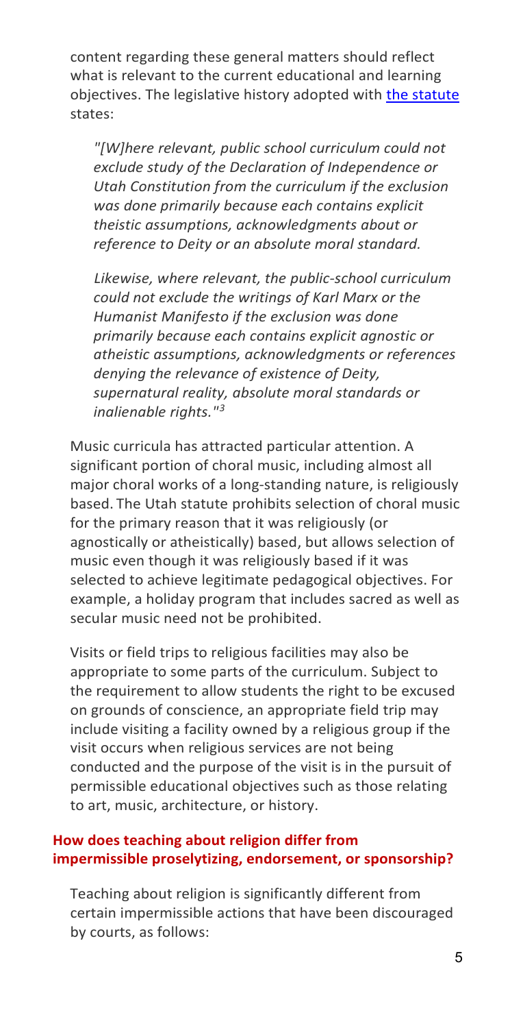content regarding these general matters should reflect what is relevant to the current educational and learning objectives. The legislative history adopted with [the statute](https://le.utah.gov/xcode/Title53G/Chapter10/53G-10-S202.html) states:

*"[W]here relevant, public school curriculum could not exclude study of the Declaration of Independence or Utah Constitution from the curriculum if the exclusion was done primarily because each contains explicit theistic assumptions, acknowledgments about or reference to Deity or an absolute moral standard.*

*Likewise, where relevant, the public-school curriculum could not exclude the writings of Karl Marx or the Humanist Manifesto if the exclusion was done primarily because each contains explicit agnostic or atheistic assumptions, acknowledgments or references denying the relevance of existence of Deity, supernatural reality, absolute moral standards or inalienable rights."[3](#page-13-3)*

Music curricula has attracted particular attention. A significant portion of choral music, including almost all major choral works of a long-standing nature, is religiously based. The Utah statute prohibits selection of choral music for the primary reason that it was religiously (or agnostically or atheistically) based, but allows selection of music even though it was religiously based if it was selected to achieve legitimate pedagogical objectives. For example, a holiday program that includes sacred as well as secular music need not be prohibited.

Visits or field trips to religious facilities may also be appropriate to some parts of the curriculum. Subject to the requirement to allow students the right to be excused on grounds of conscience, an appropriate field trip may include visiting a facility owned by a religious group if the visit occurs when religious services are not being conducted and the purpose of the visit is in the pursuit of permissible educational objectives such as those relating to art, music, architecture, or history.

# <span id="page-4-0"></span>**How does teaching about religion differ from impermissible proselytizing, endorsement, or sponsorship?**

Teaching about religion is significantly different from certain impermissible actions that have been discouraged by courts, as follows: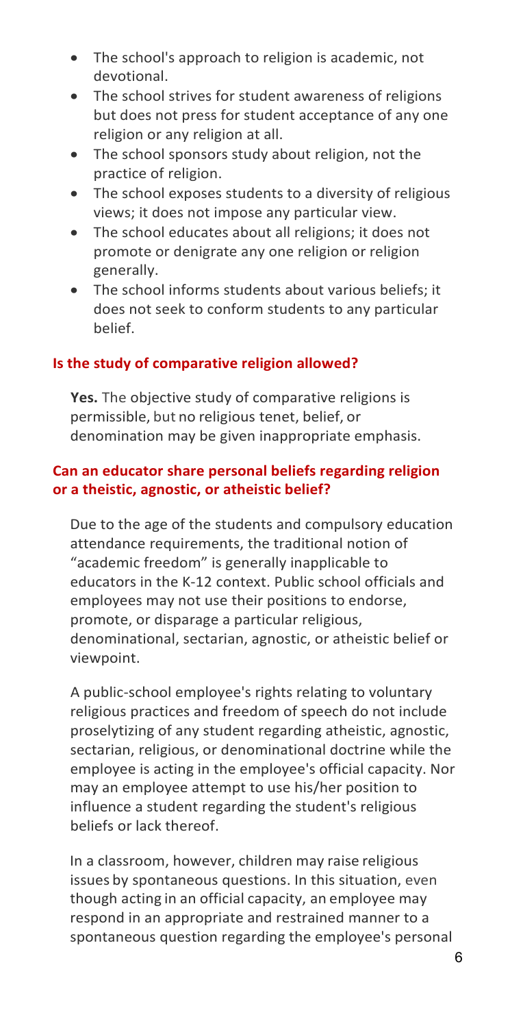- The school's approach to religion is academic, not devotional.
- The school strives for student awareness of religions but does not press for student acceptance of any one religion or any religion at all.
- The school sponsors study about religion, not the practice of religion.
- The school exposes students to a diversity of religious views; it does not impose any particular view.
- The school educates about all religions; it does not promote or denigrate any one religion or religion generally.
- The school informs students about various beliefs; it does not seek to conform students to any particular belief.

# <span id="page-5-0"></span>**Is the study of comparative religion allowed?**

**Yes.** The objective study of comparative religions is permissible, but no religious tenet, belief, or denomination may be given inappropriate emphasis.

# <span id="page-5-1"></span>**Can an educator share personal beliefs regarding religion or a theistic, agnostic, or atheistic belief?**

Due to the age of the students and compulsory education attendance requirements, the traditional notion of "academic freedom" is generally inapplicable to educators in the K-12 context. Public school officials and employees may not use their positions to endorse, promote, or disparage a particular religious, denominational, sectarian, agnostic, or atheistic belief or viewpoint.

A public-school employee's rights relating to voluntary religious practices and freedom of speech do not include proselytizing of any student regarding atheistic, agnostic, sectarian, religious, or denominational doctrine while the employee is acting in the employee's official capacity. Nor may an employee attempt to use his/her position to influence a student regarding the student's religious beliefs or lack thereof.

In a classroom, however, children may raise religious issues by spontaneous questions. In this situation, even though acting in an official capacity, an employee may respond in an appropriate and restrained manner to a spontaneous question regarding the employee's personal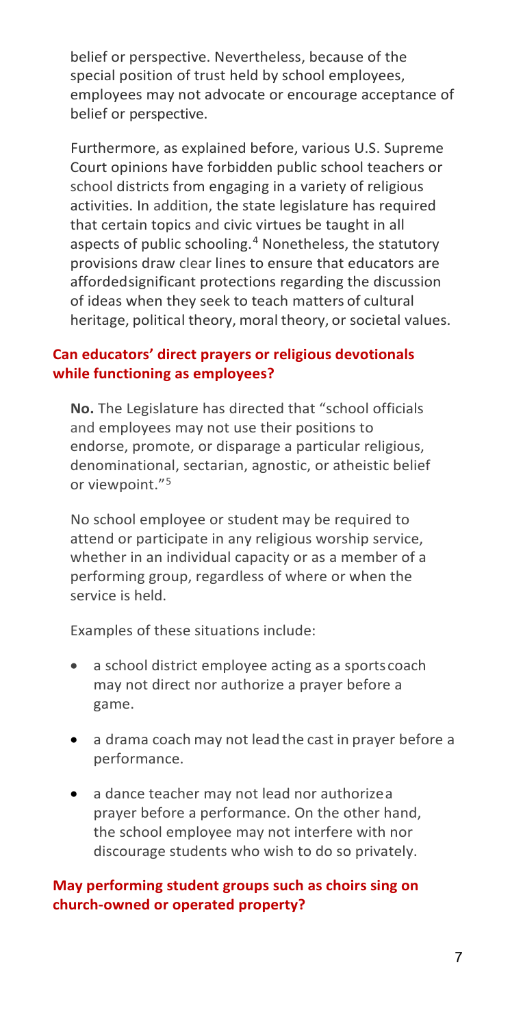belief or perspective. Nevertheless, because of the special position of trust held by school employees, employees may not advocate or encourage acceptance of belief or perspective.

Furthermore, as explained before, various U.S. Supreme Court opinions have forbidden public school teachers or school districts from engaging in a variety of religious activities. In addition, the state legislature has required that certain topics and civic virtues be taught in all aspects of public schooling.<sup>[4](#page-14-0)</sup> Nonetheless, the statutory provisions draw clear lines to ensure that educators are affordedsignificant protections regarding the discussion of ideas when they seek to teach matters of cultural heritage, political theory, moral theory, or societal values.

# <span id="page-6-0"></span>**Can educators' direct prayers or religious devotionals while functioning as employees?**

**No.** The Legislature has directed that "school officials and employees may not use their positions to endorse, promote, or disparage a particular religious, denominational, sectarian, agnostic, or atheistic belief or viewpoint."<sup>[5](#page-14-1)</sup>

No school employee or student may be required to attend or participate in any religious worship service, whether in an individual capacity or as a member of a performing group, regardless of where or when the service is held.

Examples of these situations include:

- a school district employee acting as a sports coach may not direct nor authorize a prayer before a game.
- a drama coach may not lead the cast in prayer before a performance.
- a dance teacher may not lead nor authorizea prayer before a performance. On the other hand, the school employee may not interfere with nor discourage students who wish to do so privately.

# <span id="page-6-1"></span>**May performing student groups such as choirs sing on church-owned or operated property?**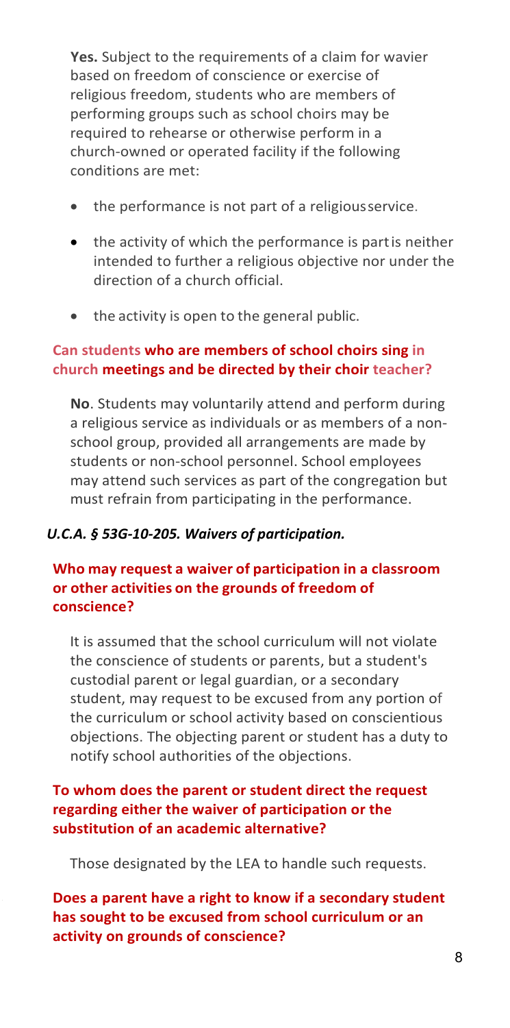**Yes.** Subject to the requirements of a claim for wavier based on freedom of conscience or exercise of religious freedom, students who are members of performing groups such as school choirs may be required to rehearse or otherwise perform in a church-owned or operated facility if the following conditions are met:

- the performance is not part of a religiousservice.
- the activity of which the performance is partis neither intended to further a religious objective nor under the direction of a church official.
- the activity is open to the general public.

## <span id="page-7-0"></span>**Can students who are members of school choirs sing in church meetings and be directed by their choir teacher?**

**No**. Students may voluntarily attend and perform during a religious service as individuals or as members of a nonschool group, provided all arrangements are made by students or non-school personnel. School employees may attend such services as part of the congregation but must refrain from participating in the performance.

### *U.C.A. § 53G-10-205. Waivers of participation.*

# <span id="page-7-1"></span>**Who may request a waiver of participation in a classroom or other activities on the grounds of freedom of conscience?**

It is assumed that the school curriculum will not violate the conscience of students or parents, but a student's custodial parent or legal guardian, or a secondary student, may request to be excused from any portion of the curriculum or school activity based on conscientious objections. The objecting parent or student has a duty to notify school authorities of the objections.

# <span id="page-7-2"></span>**To whom does the parent or student direct the request regarding either the waiver of participation or the substitution of an academic alternative?**

Those designated by the LEA to handle such requests.

<span id="page-7-3"></span>**Does a parent have a right to know if a secondary student has sought to be excused from school curriculum or an activity on grounds of conscience?**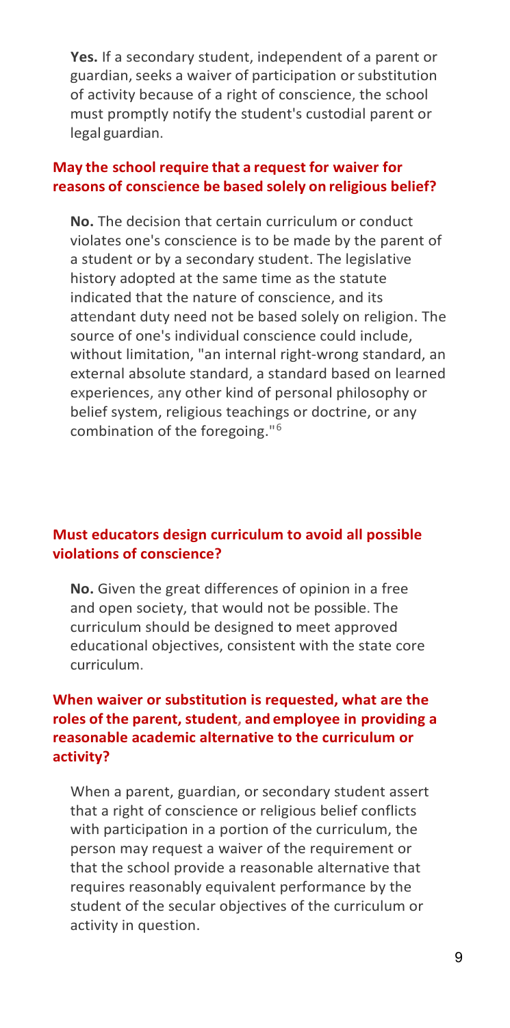**Yes.** If a secondary student, independent of a parent or guardian, seeks a waiver of participation or substitution of activity because of a right of conscience, the school must promptly notify the student's custodial parent or legal guardian.

#### <span id="page-8-0"></span>**May the school require that a request for waiver for reasons of conscience be based solely on religious belief?**

**No.** The decision that certain curriculum or conduct violates one's conscience is to be made by the parent of a student or by a secondary student. The legislative history adopted at the same time as the statute indicated that the nature of conscience, and its attendant duty need not be based solely on religion. The source of one's individual conscience could include, without limitation, "an internal right-wrong standard, an external absolute standard, a standard based on learned experiences, any other kind of personal philosophy or belief system, religious teachings or doctrine, or any combination of the foregoing."[6](#page-14-2)

### <span id="page-8-1"></span>**Must educators design curriculum to avoid all possible violations of conscience?**

**No.** Given the great differences of opinion in a free and open society, that would not be possible. The curriculum should be designed to meet approved educational objectives, consistent with the state core curriculum.

# <span id="page-8-2"></span>**When waiver or substitution is requested, what are the roles of the parent, student, and employee in providing a reasonable academic alternative to the curriculum or activity?**

When a parent, guardian, or secondary student assert that a right of conscience or religious belief conflicts with participation in a portion of the curriculum, the person may request a waiver of the requirement or that the school provide a reasonable alternative that requires reasonably equivalent performance by the student of the secular objectives of the curriculum or activity in question.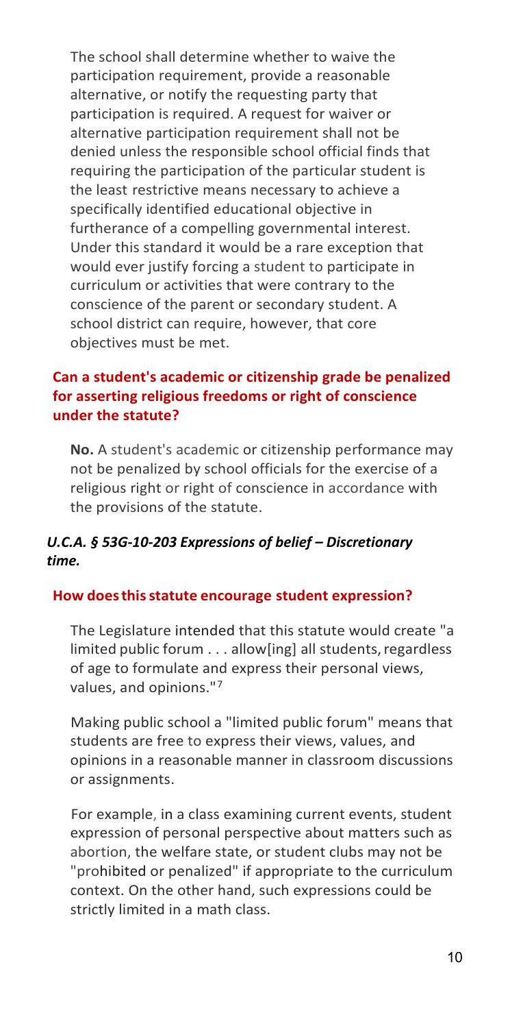The school shall determine whether to waive the participation requirement, provide a reasonable alternative, or notify the requesting party that participation is required. A request for waiver or alternative participation requirement shall not be denied unless the responsible school official finds that requiring the participation of the particular student is the least restrictive means necessary to achieve a specifically identified educational objective in furtherance of a compelling governmental interest. Under this standard it would be a rare exception that would ever justify forcing a student to participate in curriculum or activities that were contrary to the conscience of the parent or secondary student. A school district can require, however, that core objectives must be met.

# <span id="page-9-0"></span>**Can a student's academic or citizenship grade be penalized for asserting religious freedoms or right of conscience under the statute?**

**No.** A student's academic or citizenship performance may not be penalized by school officials for the exercise of a religious right or right of conscience in accordance with the provisions of the statute.

# *U.C.A. § 53G-10-203 Expressions of belief – Discretionary time.*

# <span id="page-9-1"></span>**How doesthisstatute encourage student expression?**

The Legislature intended that this statute would create "a limited public forum . . . allow[ing] all students,regardless of age to formulate and express their personal views, values, and opinions."[7](#page-14-3)

Making public school a "limited public forum" means that students are free to express their views, values, and opinions in a reasonable manner in classroom discussions or assignments.

For example, in a class examining current events, student expression of personal perspective about matters such as abortion, the welfare state, or student clubs may not be "prohibited or penalized" if appropriate to the curriculum context. On the other hand, such expressions could be strictly limited in a math class.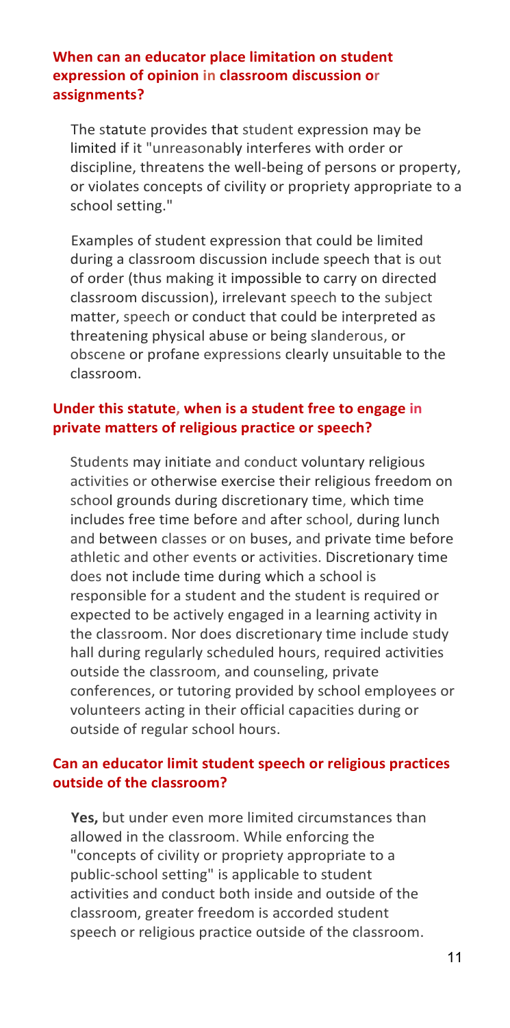#### <span id="page-10-0"></span>**When can an educator place limitation on student expression of opinion in classroom discussion or assignments?**

The statute provides that student expression may be limited if it "unreasonably interferes with order or discipline, threatens the well-being of persons or property, or violates concepts of civility or propriety appropriate to a school setting."

Examples of student expression that could be limited during a classroom discussion include speech that is out of order (thus making it impossible to carry on directed classroom discussion), irrelevant speech to the subject matter, speech or conduct that could be interpreted as threatening physical abuse or being slanderous, or obscene or profane expressions clearly unsuitable to the classroom.

## <span id="page-10-1"></span>**Under this statute, when is a student free to engage in private matters of religious practice or speech?**

Students may initiate and conduct voluntary religious activities or otherwise exercise their religious freedom on school grounds during discretionary time, which time includes free time before and after school, during lunch and between classes or on buses, and private time before athletic and other events or activities. Discretionary time does not include time during which a school is responsible for a student and the student is required or expected to be actively engaged in a learning activity in the classroom. Nor does discretionary time include study hall during regularly scheduled hours, required activities outside the classroom, and counseling, private conferences, or tutoring provided by school employees or volunteers acting in their official capacities during or outside of regular school hours.

# <span id="page-10-2"></span>**Can an educator limit student speech or religious practices outside of the classroom?**

**Yes,** but under even more limited circumstances than allowed in the classroom. While enforcing the "concepts of civility or propriety appropriate to a public-school setting" is applicable to student activities and conduct both inside and outside of the classroom, greater freedom is accorded student speech or religious practice outside of the classroom.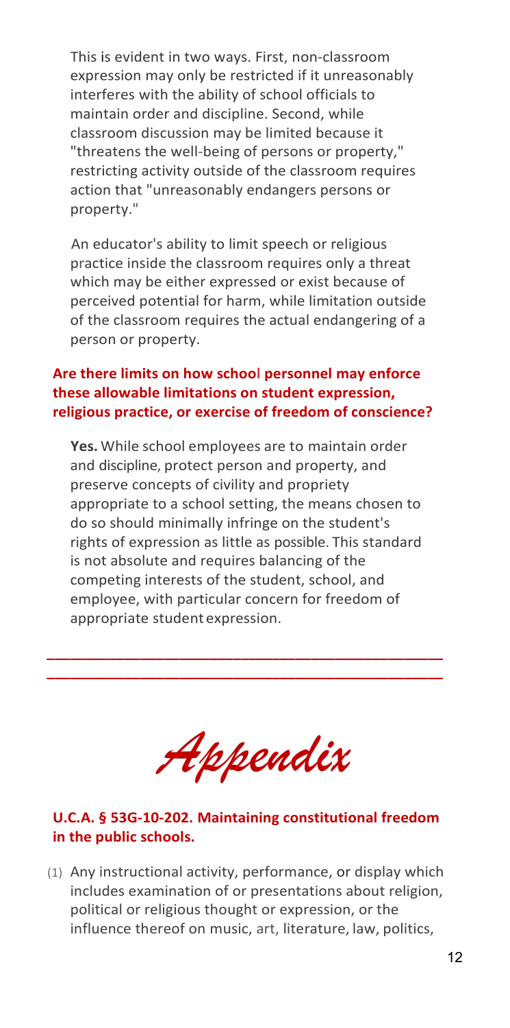This is evident in two ways. First, non-classroom expression may only be restricted if it unreasonably interferes with the ability of school officials to maintain order and discipline. Second, while classroom discussion may be limited because it "threatens the well-being of persons or property," restricting activity outside of the classroom requires action that "unreasonably endangers persons or property."

An educator's ability to limit speech or religious practice inside the classroom requires only a threat which may be either expressed or exist because of perceived potential for harm, while limitation outside of the classroom requires the actual endangering of a person or property.

### <span id="page-11-0"></span>**Are there limits on how school personnel may enforce these allowable limitations on student expression, religious practice, or exercise of freedom of conscience?**

**Yes.** While school employees are to maintain order and discipline, protect person and property, and preserve concepts of civility and propriety appropriate to a school setting, the means chosen to do so should minimally infringe on the student's rights of expression as little as possible. This standard is not absolute and requires balancing of the competing interests of the student, school, and employee, with particular concern for freedom of appropriate student expression.

**\_\_\_\_\_\_\_\_\_\_\_\_\_\_\_\_\_\_\_\_\_\_\_\_\_\_\_\_\_\_\_\_\_\_\_\_\_\_\_\_\_\_\_\_\_\_\_\_\_\_\_ \_\_\_\_\_\_\_\_\_\_\_\_\_\_\_\_\_\_\_\_\_\_\_\_\_\_\_\_\_\_\_\_\_\_\_\_\_\_\_\_\_\_\_\_\_\_\_\_\_\_\_**

*Appendix*

# <span id="page-11-1"></span>**U.C.A. § 53G-10-202. Maintaining constitutional freedom in the public schools.**

(1) Any instructional activity, performance, or display which includes examination of or presentations about religion, political or religious thought or expression, or the influence thereof on music, art, literature, law, politics,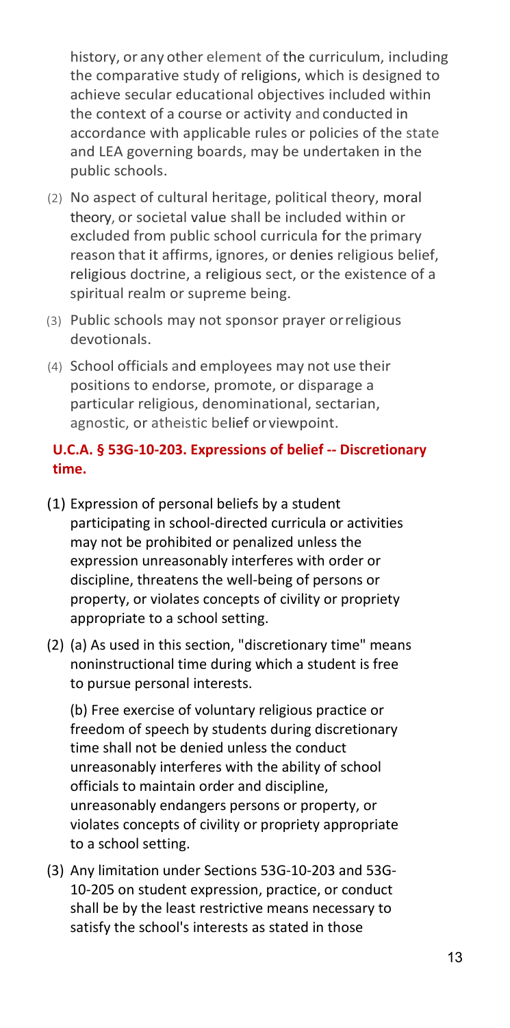history, or any other element of the curriculum, including the comparative study of religions, which is designed to achieve secular educational objectives included within the context of a course or activity and conducted in accordance with applicable rules or policies of the state and LEA governing boards, may be undertaken in the public schools.

- (2) No aspect of cultural heritage, political theory, moral theory, or societal value shall be included within or excluded from public school curricula for the primary reason that it affirms, ignores, or denies religious belief, religious doctrine, a religious sect, or the existence of a spiritual realm or supreme being.
- (3) Public schools may not sponsor prayer orreligious devotionals.
- (4) School officials and employees may not use their positions to endorse, promote, or disparage a particular religious, denominational, sectarian, agnostic, or atheistic belief or viewpoint.

# <span id="page-12-0"></span>**U.C.A. § 53G-10-203. Expressions of belief -- Discretionary time.**

- (1) Expression of personal beliefs by a student participating in school-directed curricula or activities may not be prohibited or penalized unless the expression unreasonably interferes with order or discipline, threatens the well-being of persons or property, or violates concepts of civility or propriety appropriate to a school setting.
- (2) (a) As used in this section, "discretionary time" means noninstructional time during which a student is free to pursue personal interests.

(b) Free exercise of voluntary religious practice or freedom of speech by students during discretionary time shall not be denied unless the conduct unreasonably interferes with the ability of school officials to maintain order and discipline, unreasonably endangers persons or property, or violates concepts of civility or propriety appropriate to a school setting.

(3) Any limitation under Sections 53G-10-203 and 53G-10-205 on student expression, practice, or conduct shall be by the least restrictive means necessary to satisfy the school's interests as stated in those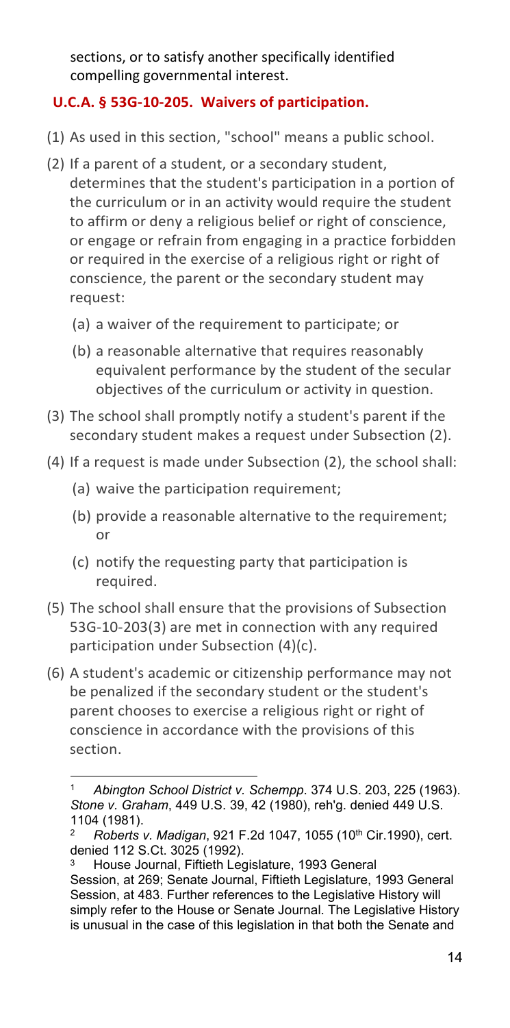sections, or to satisfy another specifically identified compelling governmental interest.

# <span id="page-13-0"></span>**U.C.A. § 53G-10-205. Waivers of participation.**

- (1) As used in this section, "school" means a public school.
- (2) If a parent of a student, or a secondary student, determines that the student's participation in a portion of the curriculum or in an activity would require the student to affirm or deny a religious belief or right of conscience, or engage or refrain from engaging in a practice forbidden or required in the exercise of a religious right or right of conscience, the parent or the secondary student may request:
	- (a) a waiver of the requirement to participate; or
	- (b) a reasonable alternative that requires reasonably equivalent performance by the student of the secular objectives of the curriculum or activity in question.
- (3) The school shall promptly notify a student's parent if the secondary student makes a request under Subsection (2).
- (4) If a request is made under Subsection (2), the school shall:
	- (a) waive the participation requirement;
	- (b) provide a reasonable alternative to the requirement; or
	- (c) notify the requesting party that participation is required.
- (5) The school shall ensure that the provisions of Subsection 53G-10-203(3) are met in connection with any required participation under Subsection (4)(c).
- (6) A student's academic or citizenship performance may not be penalized if the secondary student or the student's parent chooses to exercise a religious right or right of conscience in accordance with the provisions of this section.

<span id="page-13-1"></span><sup>1</sup> *Abington School District v. Schempp*. 374 U.S. 203, 225 (1963). *Stone v. Graham*, 449 U.S. 39, 42 (1980), reh'g. denied 449 U.S. 1104 (1981).

<span id="page-13-2"></span><sup>2</sup> *Roberts v. Madigan*, 921 F.2d 1047, 1055 (10th Cir.1990), cert. denied 112 S.Ct. 3025 (1992).

<span id="page-13-3"></span>House Journal, Fiftieth Legislature, 1993 General Session, at 269; Senate Journal, Fiftieth Legislature, 1993 General Session, at 483. Further references to the Legislative History will simply refer to the House or Senate Journal. The Legislative History is unusual in the case of this legislation in that both the Senate and